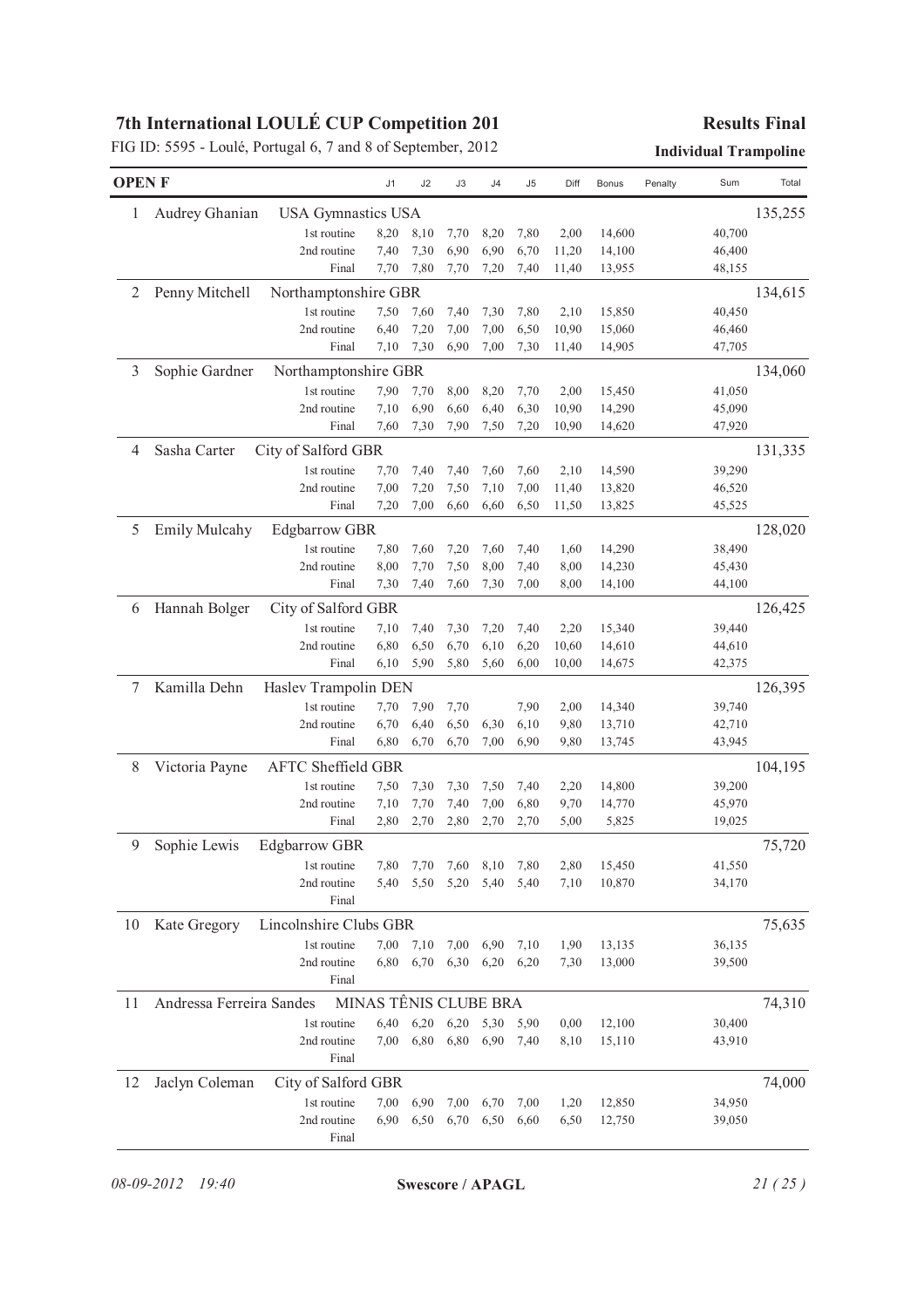|              | FIG ID: 5595 - Loulé, Portugal 6, 7 and 8 of September, 2012 |                           |                       |      |      |      |      |       |              |         | <b>Individual Trampoline</b> |         |
|--------------|--------------------------------------------------------------|---------------------------|-----------------------|------|------|------|------|-------|--------------|---------|------------------------------|---------|
| <b>OPENF</b> |                                                              |                           | J1                    | J2   | J3   | J4   | J5   | Diff  | <b>Bonus</b> | Penalty | Sum                          | Total   |
| 1            | Audrey Ghanian                                               | <b>USA Gymnastics USA</b> |                       |      |      |      |      |       |              |         |                              | 135,255 |
|              |                                                              | 1st routine               | 8,20                  | 8,10 | 7,70 | 8,20 | 7,80 | 2,00  | 14,600       |         | 40,700                       |         |
|              |                                                              | 2nd routine               | 7,40                  | 7,30 | 6,90 | 6,90 | 6,70 | 11,20 | 14,100       |         | 46,400                       |         |
|              |                                                              | Final                     | 7,70                  | 7,80 | 7,70 | 7,20 | 7,40 | 11,40 | 13,955       |         | 48,155                       |         |
| 2            | Penny Mitchell                                               | Northamptonshire GBR      |                       |      |      |      |      |       |              |         |                              | 134,615 |
|              |                                                              | 1st routine               | 7,50                  | 7,60 | 7,40 | 7,30 | 7,80 | 2,10  | 15,850       |         | 40,450                       |         |
|              |                                                              | 2nd routine               | 6,40                  | 7,20 | 7,00 | 7,00 | 6,50 | 10,90 | 15,060       |         | 46,460                       |         |
|              |                                                              | Final                     | 7,10                  | 7,30 | 6,90 | 7,00 | 7,30 | 11,40 | 14,905       |         | 47,705                       |         |
| 3            | Sophie Gardner                                               | Northamptonshire GBR      |                       |      |      |      |      |       |              |         |                              | 134,060 |
|              |                                                              | 1st routine               | 7,90                  | 7,70 | 8,00 | 8,20 | 7,70 | 2,00  | 15,450       |         | 41,050                       |         |
|              |                                                              | 2nd routine               | 7,10                  | 6,90 | 6,60 | 6,40 | 6,30 | 10,90 | 14,290       |         | 45,090                       |         |
|              |                                                              | Final                     | 7,60                  | 7,30 | 7,90 | 7,50 | 7,20 | 10,90 | 14,620       |         | 47,920                       |         |
| 4            | Sasha Carter                                                 | City of Salford GBR       |                       |      |      |      |      |       |              |         |                              | 131,335 |
|              |                                                              | 1st routine               | 7,70                  | 7,40 | 7,40 | 7,60 | 7,60 | 2,10  | 14,590       |         | 39,290                       |         |
|              |                                                              | 2nd routine               | 7,00                  | 7,20 | 7,50 | 7,10 | 7,00 | 11,40 | 13,820       |         | 46,520                       |         |
|              |                                                              | Final                     | 7,20                  | 7,00 | 6,60 | 6,60 | 6,50 | 11,50 | 13,825       |         | 45,525                       |         |
| 5            | Emily Mulcahy                                                | <b>Edgbarrow GBR</b>      |                       |      |      |      |      |       |              |         |                              | 128,020 |
|              |                                                              | 1st routine               | 7,80                  | 7,60 | 7,20 | 7,60 | 7,40 | 1,60  | 14,290       |         | 38,490                       |         |
|              |                                                              | 2nd routine               | 8,00                  | 7,70 | 7,50 | 8,00 | 7,40 | 8,00  | 14,230       |         | 45,430                       |         |
|              |                                                              | Final                     | 7,30                  | 7,40 | 7,60 | 7,30 | 7,00 | 8,00  | 14,100       |         | 44,100                       |         |
| 6            | Hannah Bolger                                                | City of Salford GBR       |                       |      |      |      |      |       |              |         |                              | 126,425 |
|              |                                                              | 1st routine               | 7,10                  | 7,40 | 7,30 | 7,20 | 7,40 | 2,20  | 15,340       |         | 39,440                       |         |
|              |                                                              | 2nd routine               | 6,80                  | 6,50 | 6,70 | 6,10 | 6,20 | 10,60 | 14,610       |         | 44,610                       |         |
|              |                                                              | Final                     | 6,10                  | 5,90 | 5,80 | 5,60 | 6,00 | 10,00 | 14,675       |         | 42,375                       |         |
| 7            | Kamilla Dehn                                                 | Haslev Trampolin DEN      |                       |      |      |      |      |       |              |         |                              | 126,395 |
|              |                                                              | 1st routine               | 7,70                  | 7,90 | 7,70 |      | 7,90 | 2,00  | 14,340       |         | 39,740                       |         |
|              |                                                              | 2nd routine               | 6,70                  | 6,40 | 6,50 | 6,30 | 6,10 | 9,80  | 13,710       |         | 42,710                       |         |
|              |                                                              | Final                     | 6,80                  | 6,70 | 6,70 | 7,00 | 6,90 | 9,80  | 13,745       |         | 43,945                       |         |
| 8            | Victoria Payne                                               | <b>AFTC Sheffield GBR</b> |                       |      |      |      |      |       |              |         |                              | 104,195 |
|              |                                                              | 1st routine               | 7,50                  | 7,30 | 7,30 | 7,50 | 7,40 | 2,20  | 14,800       |         | 39,200                       |         |
|              |                                                              | 2nd routine               | 7,10                  | 7,70 | 7,40 | 7,00 | 6,80 | 9,70  | 14,770       |         | 45,970                       |         |
|              |                                                              | Final                     | 2,80                  | 2,70 | 2,80 | 2,70 | 2,70 | 5,00  | 5,825        |         | 19,025                       |         |
| 9            | Sophie Lewis                                                 | <b>Edgbarrow GBR</b>      |                       |      |      |      |      |       |              |         |                              | 75,720  |
|              |                                                              | 1st routine               | 7,80                  | 7,70 | 7,60 | 8,10 | 7,80 | 2,80  | 15,450       |         | 41,550                       |         |
|              |                                                              | 2nd routine               | 5,40                  | 5,50 | 5,20 | 5,40 | 5,40 | 7,10  | 10,870       |         | 34,170                       |         |
|              |                                                              | Final                     |                       |      |      |      |      |       |              |         |                              |         |
| 10           | Kate Gregory                                                 | Lincolnshire Clubs GBR    |                       |      |      |      |      |       |              |         |                              | 75,635  |
|              |                                                              | 1st routine               | 7,00                  | 7,10 | 7,00 | 6,90 | 7,10 | 1,90  | 13,135       |         | 36,135                       |         |
|              |                                                              | 2nd routine               | 6,80                  | 6,70 | 6,30 | 6,20 | 6,20 | 7,30  | 13,000       |         | 39,500                       |         |
|              |                                                              | Final                     |                       |      |      |      |      |       |              |         |                              |         |
| 11           | Andressa Ferreira Sandes                                     |                           | MINAS TÊNIS CLUBE BRA |      |      |      |      |       |              |         |                              | 74,310  |
|              |                                                              | 1st routine               | 6,40                  | 6,20 | 6,20 | 5,30 | 5,90 | 0,00  | 12,100       |         | 30,400                       |         |
|              |                                                              | 2nd routine               | 7,00                  | 6,80 | 6,80 | 6,90 | 7,40 | 8,10  | 15,110       |         | 43,910                       |         |
|              |                                                              | Final                     |                       |      |      |      |      |       |              |         |                              |         |
| 12           | Jaclyn Coleman                                               | City of Salford GBR       |                       |      |      |      |      |       |              |         |                              | 74,000  |
|              |                                                              | 1st routine               | 7,00                  | 6,90 | 7,00 | 6,70 | 7,00 | 1,20  | 12,850       |         | 34,950                       |         |
|              |                                                              | 2nd routine               | 6,90                  | 6,50 | 6,70 | 6,50 | 6,60 | 6,50  | 12,750       |         | 39,050                       |         |
|              |                                                              | Final                     |                       |      |      |      |      |       |              |         |                              |         |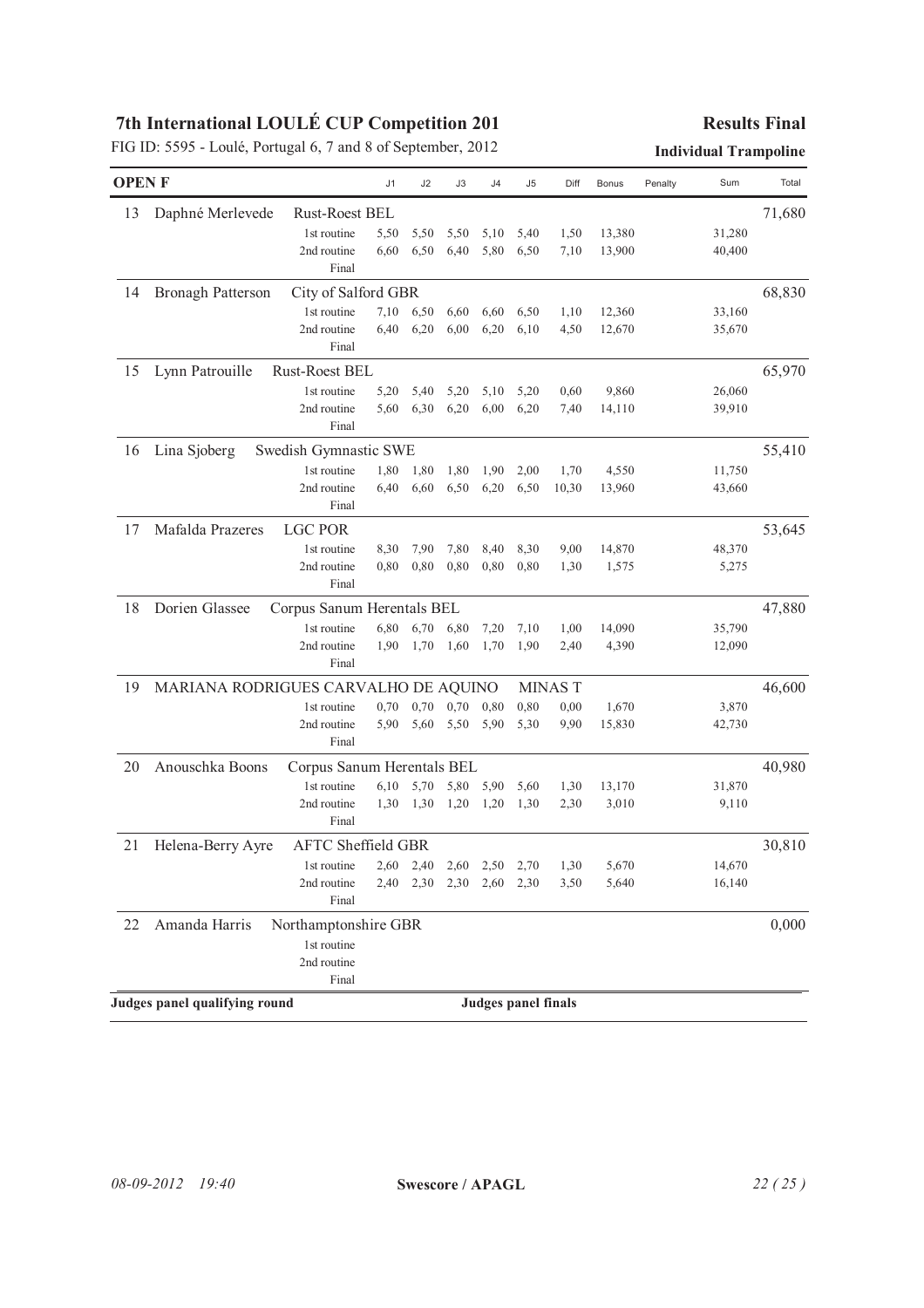|              | FIG ID: 5595 - Loulé, Portugal 6, 7 and 8 of September, 2012 |      |      |      |        |                            |       |              |         | <b>Individual Trampoline</b> |        |
|--------------|--------------------------------------------------------------|------|------|------|--------|----------------------------|-------|--------------|---------|------------------------------|--------|
| <b>OPENF</b> |                                                              | J1   | J2   | J3   | J4     | J5                         | Diff  | <b>Bonus</b> | Penalty | Sum                          | Total  |
| 13           | Daphné Merlevede<br><b>Rust-Roest BEL</b>                    |      |      |      |        |                            |       |              |         |                              | 71,680 |
|              | 1st routine                                                  | 5,50 | 5,50 | 5,50 | 5,10   | 5,40                       | 1,50  | 13,380       |         | 31,280                       |        |
|              | 2nd routine                                                  | 6,60 | 6,50 | 6,40 | 5,80   | 6,50                       | 7,10  | 13,900       |         | 40,400                       |        |
|              | Final                                                        |      |      |      |        |                            |       |              |         |                              |        |
| 14           | City of Salford GBR<br>Bronagh Patterson                     |      |      |      |        |                            |       |              |         |                              | 68,830 |
|              | 1st routine                                                  | 7,10 | 6,50 | 6,60 | 6,60   | 6,50                       | 1,10  | 12,360       |         | 33,160                       |        |
|              | 2nd routine                                                  | 6,40 | 6,20 | 6,00 | 6,20   | 6,10                       | 4,50  | 12,670       |         | 35,670                       |        |
|              | Final                                                        |      |      |      |        |                            |       |              |         |                              |        |
| 15           | Lynn Patrouille<br><b>Rust-Roest BEL</b>                     |      |      |      |        |                            |       |              |         |                              | 65,970 |
|              | 1st routine                                                  | 5,20 | 5,40 | 5,20 | 5,10   | 5,20                       | 0,60  | 9,860        |         | 26,060                       |        |
|              | 2nd routine                                                  | 5,60 | 6,30 | 6,20 | 6,00   | 6,20                       | 7,40  | 14,110       |         | 39,910                       |        |
|              | Final                                                        |      |      |      |        |                            |       |              |         |                              |        |
| 16           | Lina Sjoberg<br>Swedish Gymnastic SWE                        |      |      |      |        |                            |       |              |         |                              | 55,410 |
|              | 1st routine                                                  | 1,80 | 1,80 | 1,80 | 1,90   | 2,00                       | 1,70  | 4,550        |         | 11,750                       |        |
|              | 2nd routine                                                  | 6,40 | 6,60 | 6,50 | 6,20   | 6,50                       | 10,30 | 13,960       |         | 43,660                       |        |
|              | Final                                                        |      |      |      |        |                            |       |              |         |                              |        |
| 17           | Mafalda Prazeres<br><b>LGC POR</b>                           |      |      |      |        |                            |       |              |         |                              | 53,645 |
|              | 1st routine                                                  | 8,30 | 7,90 | 7,80 | 8,40   | 8,30                       | 9,00  | 14,870       |         | 48,370                       |        |
|              | 2nd routine<br>Final                                         | 0,80 | 0,80 | 0,80 | 0,80   | 0,80                       | 1,30  | 1,575        |         | 5,275                        |        |
| 18           | Dorien Glassee<br>Corpus Sanum Herentals BEL                 |      |      |      |        |                            |       |              |         |                              | 47,880 |
|              | 1st routine                                                  | 6,80 | 6,70 | 6,80 | 7,20   | 7,10                       | 1,00  | 14,090       |         | 35,790                       |        |
|              | 2nd routine                                                  | 1,90 | 1,70 | 1,60 | 1,70   | 1,90                       | 2,40  | 4,390        |         | 12,090                       |        |
|              | Final                                                        |      |      |      |        |                            |       |              |         |                              |        |
| 19           | MARIANA RODRIGUES CARVALHO DE AQUINO                         |      |      |      | 46,600 |                            |       |              |         |                              |        |
|              | 1st routine                                                  | 0,70 | 0,70 | 0,70 | 0,80   | 0,80                       | 0,00  | 1,670        |         | 3,870                        |        |
|              | 2nd routine                                                  | 5,90 | 5,60 | 5,50 | 5,90   | 5,30                       | 9,90  | 15,830       |         | 42,730                       |        |
|              | Final                                                        |      |      |      |        |                            |       |              |         |                              |        |
| 20           | Anouschka Boons<br>Corpus Sanum Herentals BEL                |      |      |      |        |                            |       |              |         |                              | 40,980 |
|              | 1st routine                                                  | 6,10 | 5,70 | 5,80 | 5,90   | 5,60                       | 1,30  | 13,170       |         | 31,870                       |        |
|              | 2nd routine                                                  | 1,30 | 1,30 | 1,20 | 1,20   | 1,30                       | 2,30  | 3,010        |         | 9,110                        |        |
|              | Final                                                        |      |      |      |        |                            |       |              |         |                              |        |
| 21           | Helena-Berry Ayre<br><b>AFTC Sheffield GBR</b>               |      |      |      |        |                            |       |              |         |                              | 30,810 |
|              | 1st routine                                                  | 2,60 | 2,40 | 2,60 | 2,50   | 2,70                       | 1,30  | 5,670        |         | 14,670                       |        |
|              | 2nd routine                                                  | 2,40 | 2,30 | 2,30 | 2,60   | 2,30                       | 3,50  | 5,640        |         | 16,140                       |        |
|              | Final                                                        |      |      |      |        |                            |       |              |         |                              |        |
| 22           | Amanda Harris<br>Northamptonshire GBR                        |      |      |      |        |                            |       |              |         |                              | 0,000  |
|              | 1st routine                                                  |      |      |      |        |                            |       |              |         |                              |        |
|              | 2nd routine                                                  |      |      |      |        |                            |       |              |         |                              |        |
|              | Final                                                        |      |      |      |        |                            |       |              |         |                              |        |
|              | Judges panel qualifying round                                |      |      |      |        | <b>Judges panel finals</b> |       |              |         |                              |        |
|              |                                                              |      |      |      |        |                            |       |              |         |                              |        |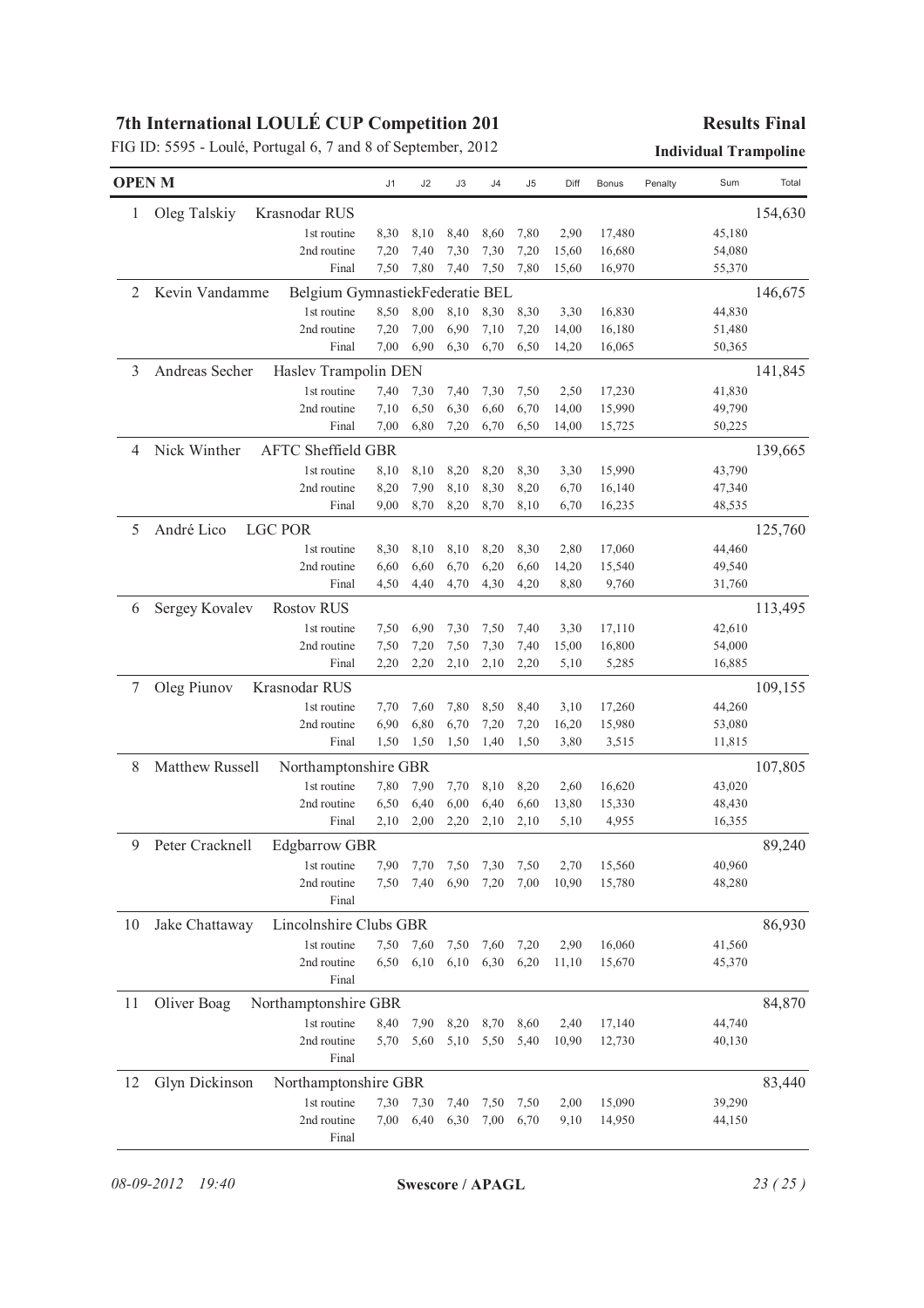|               |                                                   |      |      |      |      |      |       |              |         | <b>Individual Trampoline</b> |         |
|---------------|---------------------------------------------------|------|------|------|------|------|-------|--------------|---------|------------------------------|---------|
| <b>OPEN M</b> |                                                   | J1   | J2   | J3   | J4   | J5   | Diff  | <b>Bonus</b> | Penalty | Sum                          | Total   |
| 1             | Oleg Talskiy<br>Krasnodar RUS                     |      |      |      |      |      |       |              |         |                              | 154,630 |
|               | 1st routine                                       | 8,30 | 8,10 | 8,40 | 8,60 | 7,80 | 2,90  | 17,480       |         | 45,180                       |         |
|               | 2nd routine                                       | 7,20 | 7,40 | 7,30 | 7,30 | 7,20 | 15,60 | 16,680       |         | 54,080                       |         |
|               | Final                                             | 7,50 | 7,80 | 7,40 | 7,50 | 7,80 | 15,60 | 16,970       |         | 55,370                       |         |
| 2             | Kevin Vandamme<br>Belgium GymnastiekFederatie BEL |      |      |      |      |      |       |              |         |                              | 146,675 |
|               | 1st routine                                       | 8,50 | 8,00 | 8,10 | 8,30 | 8,30 | 3,30  | 16,830       |         | 44,830                       |         |
|               | 2nd routine                                       | 7,20 | 7,00 | 6,90 | 7,10 | 7,20 | 14,00 | 16,180       |         | 51,480                       |         |
|               | Final                                             | 7,00 | 6,90 | 6,30 | 6,70 | 6,50 | 14,20 | 16,065       |         | 50,365                       |         |
| 3             | Andreas Secher<br>Haslev Trampolin DEN            |      |      |      |      |      |       |              |         |                              | 141,845 |
|               | 1st routine                                       | 7,40 | 7,30 | 7,40 | 7,30 | 7,50 | 2,50  | 17,230       |         | 41,830                       |         |
|               | 2nd routine                                       | 7,10 | 6,50 | 6,30 | 6,60 | 6,70 | 14,00 | 15,990       |         | 49,790                       |         |
|               | Final                                             | 7,00 | 6,80 | 7,20 | 6,70 | 6,50 | 14,00 | 15,725       |         | 50,225                       |         |
| 4             | Nick Winther<br><b>AFTC Sheffield GBR</b>         |      |      |      |      |      |       |              |         |                              | 139,665 |
|               | 1st routine                                       | 8,10 | 8,10 | 8,20 | 8,20 | 8,30 | 3,30  | 15,990       |         | 43,790                       |         |
|               | 2nd routine                                       | 8,20 | 7,90 | 8,10 | 8,30 | 8,20 | 6,70  | 16,140       |         | 47,340                       |         |
|               | Final                                             | 9,00 | 8,70 | 8,20 | 8,70 | 8,10 | 6,70  | 16,235       |         | 48,535                       |         |
| 5             | André Lico<br><b>LGC POR</b>                      |      |      |      |      |      |       |              |         |                              | 125,760 |
|               | 1st routine                                       | 8,30 | 8,10 | 8,10 | 8,20 | 8,30 | 2,80  | 17,060       |         | 44,460                       |         |
|               | 2nd routine                                       | 6,60 | 6,60 | 6,70 | 6,20 | 6,60 | 14,20 | 15,540       |         | 49,540                       |         |
|               | Final                                             | 4,50 | 4,40 | 4,70 | 4,30 | 4,20 | 8,80  | 9,760        |         | 31,760                       |         |
| 6             | Sergey Kovalev<br><b>Rostov RUS</b>               |      |      |      |      |      |       |              |         |                              | 113,495 |
|               | 1st routine                                       | 7,50 | 6,90 | 7,30 | 7,50 | 7,40 | 3,30  | 17,110       |         | 42,610                       |         |
|               | 2nd routine                                       | 7,50 | 7,20 | 7,50 | 7,30 | 7,40 | 15,00 | 16,800       |         | 54,000                       |         |
|               | Final                                             | 2,20 | 2,20 | 2,10 | 2,10 | 2,20 | 5,10  | 5,285        |         | 16,885                       |         |
| 7             | Oleg Piunov<br>Krasnodar RUS                      |      |      |      |      |      |       |              |         |                              | 109,155 |
|               | 1st routine                                       | 7,70 | 7,60 | 7,80 | 8,50 | 8,40 | 3,10  | 17,260       |         | 44,260                       |         |
|               | 2nd routine                                       | 6,90 | 6,80 | 6,70 | 7,20 | 7,20 | 16,20 | 15,980       |         | 53,080                       |         |
|               | Final                                             | 1,50 | 1,50 | 1,50 | 1,40 | 1,50 | 3,80  | 3,515        |         | 11,815                       |         |
| 8             | Matthew Russell<br>Northamptonshire GBR           |      |      |      |      |      |       |              |         |                              | 107,805 |
|               | 1st routine                                       | 7,80 | 7,90 | 7,70 | 8,10 | 8,20 | 2,60  | 16,620       |         | 43,020                       |         |
|               | 2nd routine                                       | 6,50 | 6,40 | 6,00 | 6,40 | 6,60 | 13,80 | 15,330       |         | 48,430                       |         |
|               | Final                                             | 2,10 | 2,00 | 2,20 | 2,10 | 2,10 | 5,10  | 4,955        |         | 16,355                       |         |
| 9             | Peter Cracknell<br><b>Edgbarrow GBR</b>           |      |      |      |      |      |       |              |         |                              | 89,240  |
|               | 1st routine                                       | 7,90 | 7,70 | 7,50 | 7,30 | 7,50 | 2,70  | 15,560       |         | 40,960                       |         |
|               | 2nd routine                                       | 7,50 | 7,40 | 6,90 | 7,20 | 7,00 | 10,90 | 15,780       |         | 48,280                       |         |
|               | Final                                             |      |      |      |      |      |       |              |         |                              |         |
| 10            | Jake Chattaway<br>Lincolnshire Clubs GBR          |      |      |      |      |      |       |              |         |                              | 86,930  |
|               | 1st routine                                       | 7,50 | 7,60 | 7,50 | 7,60 | 7,20 | 2,90  | 16,060       |         | 41,560                       |         |
|               | 2nd routine                                       | 6,50 | 6,10 | 6,10 | 6,30 | 6,20 | 11,10 | 15,670       |         | 45,370                       |         |
|               | Final                                             |      |      |      |      |      |       |              |         |                              |         |
| 11            | Oliver Boag<br>Northamptonshire GBR               |      |      |      |      |      |       |              |         |                              | 84,870  |
|               | 1st routine                                       | 8,40 | 7,90 | 8,20 | 8,70 | 8,60 | 2,40  | 17,140       |         | 44,740                       |         |
|               | 2nd routine                                       | 5,70 | 5,60 | 5,10 | 5,50 | 5,40 | 10,90 | 12,730       |         | 40,130                       |         |
|               | Final                                             |      |      |      |      |      |       |              |         |                              |         |
| 12            | Glyn Dickinson<br>Northamptonshire GBR            |      |      |      |      |      |       |              |         |                              | 83,440  |
|               | 1st routine                                       | 7,30 | 7,30 | 7,40 | 7,50 | 7,50 | 2,00  | 15,090       |         | 39,290                       |         |
|               | 2nd routine                                       | 7,00 | 6,40 | 6,30 | 7,00 | 6,70 | 9,10  | 14,950       |         | 44,150                       |         |
|               | Final                                             |      |      |      |      |      |       |              |         |                              |         |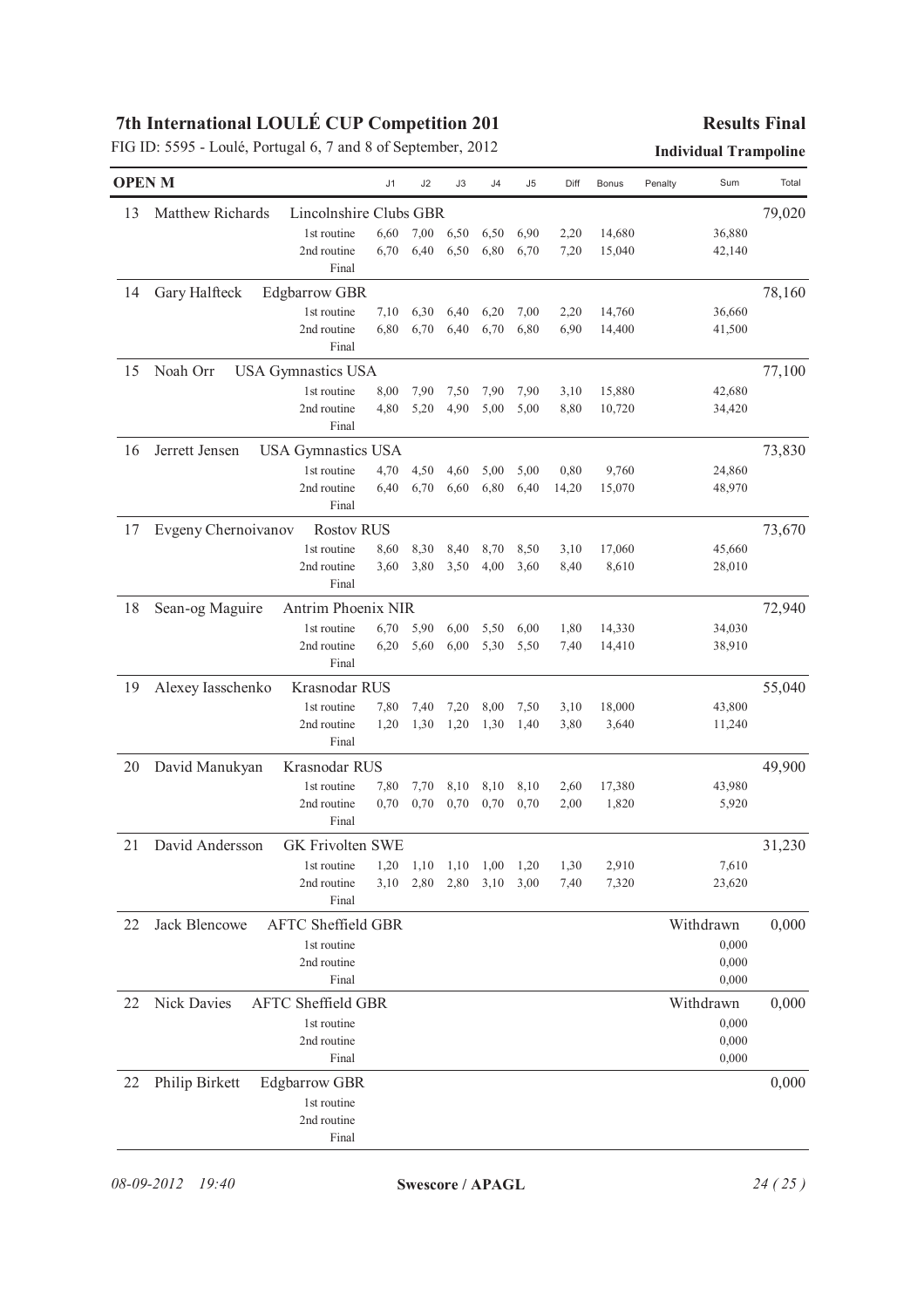|    | <b>OPEN M</b>                               | J1   | J2   | J3   | J4   | J <sub>5</sub> | Diff  | <b>Bonus</b> | Sum<br>Penalty | Total  |
|----|---------------------------------------------|------|------|------|------|----------------|-------|--------------|----------------|--------|
| 13 | Matthew Richards<br>Lincolnshire Clubs GBR  |      |      |      |      |                |       |              |                | 79,020 |
|    | 1st routine                                 | 6,60 | 7,00 | 6,50 | 6,50 | 6,90           | 2,20  | 14,680       | 36,880         |        |
|    | 2nd routine                                 | 6,70 | 6,40 | 6,50 | 6,80 | 6,70           | 7,20  | 15,040       | 42,140         |        |
|    | Final                                       |      |      |      |      |                |       |              |                |        |
| 14 | Gary Halfteck<br><b>Edgbarrow GBR</b>       |      |      |      |      |                |       |              |                | 78,160 |
|    | 1st routine                                 | 7,10 | 6,30 | 6,40 | 6,20 | 7,00           | 2,20  | 14,760       | 36,660         |        |
|    | 2nd routine                                 | 6,80 | 6,70 | 6,40 | 6,70 | 6,80           | 6,90  | 14,400       | 41,500         |        |
|    | Final                                       |      |      |      |      |                |       |              |                |        |
| 15 | Noah Orr<br><b>USA Gymnastics USA</b>       |      |      |      |      |                |       |              |                | 77,100 |
|    | 1st routine                                 | 8,00 | 7,90 | 7,50 | 7,90 | 7,90           | 3,10  | 15,880       | 42,680         |        |
|    | 2nd routine                                 | 4,80 | 5,20 | 4,90 | 5,00 | 5,00           | 8,80  | 10,720       | 34,420         |        |
|    | Final                                       |      |      |      |      |                |       |              |                |        |
| 16 | Jerrett Jensen<br><b>USA Gymnastics USA</b> |      |      |      |      |                |       |              |                | 73,830 |
|    | 1st routine                                 | 4,70 | 4,50 | 4,60 | 5,00 | 5,00           | 0,80  | 9,760        | 24,860         |        |
|    | 2nd routine                                 | 6,40 | 6,70 | 6,60 | 6,80 | 6,40           | 14,20 | 15,070       | 48,970         |        |
|    | Final                                       |      |      |      |      |                |       |              |                |        |
| 17 | Evgeny Chernoivanov<br><b>Rostov RUS</b>    |      |      |      |      |                |       |              |                | 73,670 |
|    | 1st routine                                 | 8,60 | 8,30 | 8,40 | 8,70 | 8,50           | 3,10  | 17,060       | 45,660         |        |
|    | 2nd routine                                 | 3,60 | 3,80 | 3,50 | 4,00 | 3,60           | 8,40  | 8,610        | 28,010         |        |
|    | Final                                       |      |      |      |      |                |       |              |                |        |
| 18 | Sean-og Maguire<br>Antrim Phoenix NIR       |      |      |      |      |                |       |              |                | 72,940 |
|    | 1st routine                                 | 6,70 | 5,90 | 6,00 | 5,50 | 6,00           | 1,80  | 14,330       | 34,030         |        |
|    | 2nd routine                                 | 6,20 | 5,60 | 6,00 | 5,30 | 5,50           | 7,40  | 14,410       | 38,910         |        |
|    | Final                                       |      |      |      |      |                |       |              |                |        |
| 19 | Alexey Iasschenko<br>Krasnodar RUS          |      |      |      |      |                |       |              |                | 55,040 |
|    | 1st routine                                 | 7,80 | 7,40 | 7,20 | 8,00 | 7,50           | 3,10  | 18,000       | 43,800         |        |
|    | 2nd routine                                 | 1,20 | 1,30 | 1,20 | 1,30 | 1,40           | 3,80  | 3,640        | 11,240         |        |
|    | Final                                       |      |      |      |      |                |       |              |                |        |
| 20 | David Manukyan<br>Krasnodar RUS             |      |      |      |      |                |       |              |                | 49,900 |
|    | 1st routine                                 | 7,80 | 7,70 | 8,10 | 8,10 | 8,10           | 2,60  | 17,380       | 43,980         |        |
|    | 2nd routine                                 | 0,70 | 0,70 | 0,70 | 0,70 | 0,70           | 2,00  | 1,820        | 5,920          |        |
|    | Final                                       |      |      |      |      |                |       |              |                |        |
| 21 | David Andersson<br><b>GK Frivolten SWE</b>  |      |      |      |      |                |       |              |                | 31,230 |
|    | 1st routine                                 | 1,20 | 1,10 | 1,10 | 1,00 | 1,20           | 1,30  | 2,910        | 7,610          |        |
|    | 2nd routine                                 | 3,10 | 2,80 | 2,80 | 3,10 | 3,00           | 7,40  | 7,320        | 23,620         |        |
|    | Final                                       |      |      |      |      |                |       |              |                |        |
| 22 | Jack Blencowe<br><b>AFTC Sheffield GBR</b>  |      |      |      |      |                |       |              | Withdrawn      | 0,000  |
|    | 1st routine                                 |      |      |      |      |                |       |              | 0,000          |        |
|    | 2nd routine                                 |      |      |      |      |                |       |              | 0,000          |        |
|    | Final                                       |      |      |      |      |                |       |              | 0,000          |        |
| 22 | Nick Davies<br><b>AFTC Sheffield GBR</b>    |      |      |      |      |                |       |              | Withdrawn      | 0,000  |
|    | 1st routine                                 |      |      |      |      |                |       |              | 0,000          |        |
|    | 2nd routine                                 |      |      |      |      |                |       |              | 0,000          |        |
|    | Final                                       |      |      |      |      |                |       |              | 0,000          |        |
| 22 | Philip Birkett<br><b>Edgbarrow GBR</b>      |      |      |      |      |                |       |              |                | 0,000  |
|    | 1st routine                                 |      |      |      |      |                |       |              |                |        |
|    | 2nd routine                                 |      |      |      |      |                |       |              |                |        |
|    | Final                                       |      |      |      |      |                |       |              |                |        |